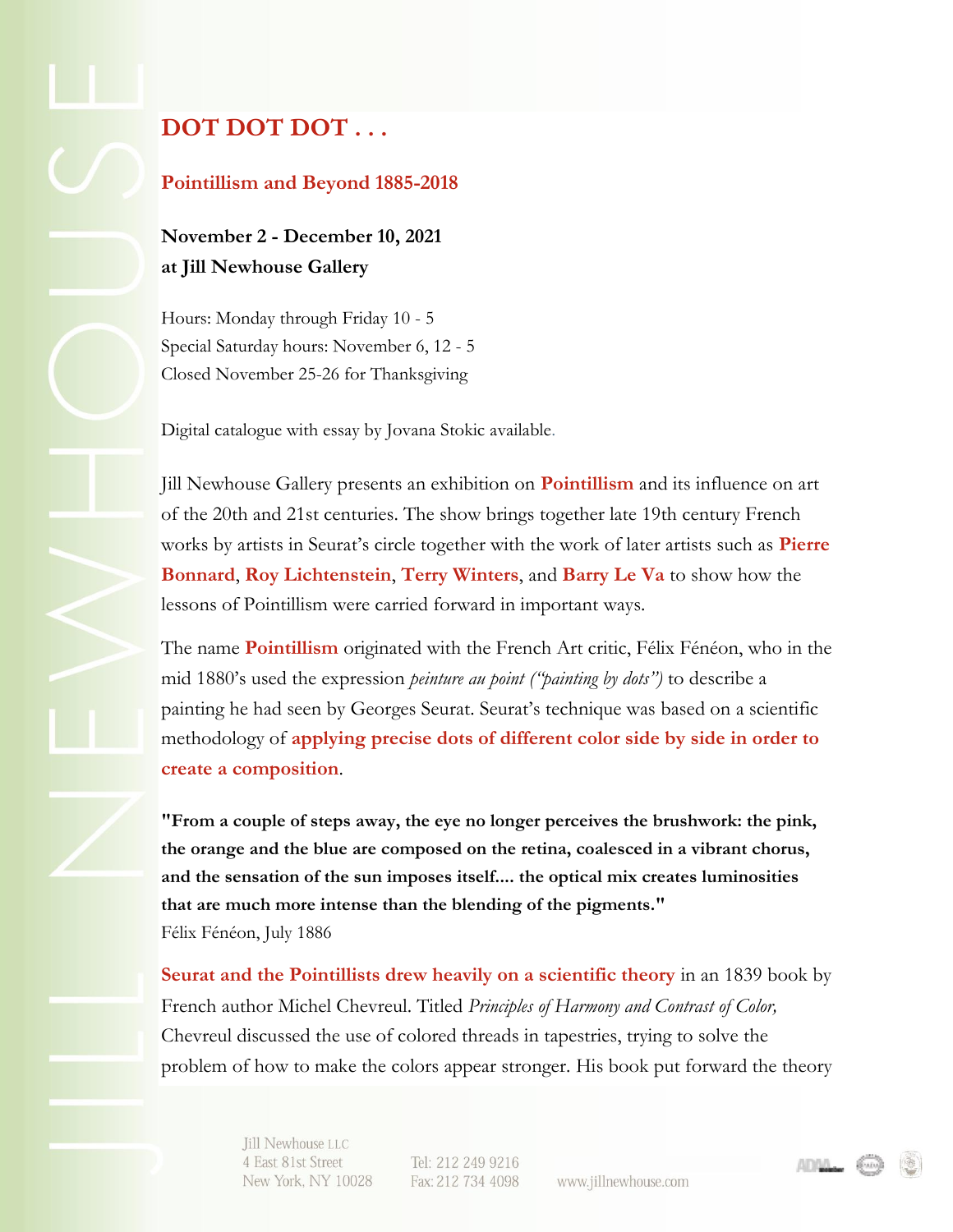## **[DOT DOT DOT . . .](https://jillnewhousegallery.createsend1.com/t/y-l-okkukht-l-j/)**

## **Pointillism and Beyond 1885-2018**

**November 2 - December 10, 2021 at Jill Newhouse Gallery**

Hours: Monday through Friday 10 - 5 Special Saturday hours: November 6, 12 - 5 Closed November 25-26 for Thanksgiving

Digital catalogue with essay by Jovana Stokic available.

Jill Newhouse Gallery presents an exhibition on **Pointillism** and its influence on art of the 20th and 21st centuries. The show brings together late 19th century French works by artists in Seurat's circle together with the work of later artists such as **Pierre Bonnard**, **Roy Lichtenstein**, **Terry Winters**, and **Barry Le Va** to show how the lessons of Pointillism were carried forward in important ways.

The name **Pointillism** originated with the French Art critic, Félix Fénéon, who in the mid 1880's used the expression *peinture au point ("painting by dots")* to describe a painting he had seen by Georges Seurat. Seurat's technique was based on a scientific methodology of **applying precise dots of different color side by side in order to create a composition**.

**"From a couple of steps away, the eye no longer perceives the brushwork: the pink, the orange and the blue are composed on the retina, coalesced in a vibrant chorus, and the sensation of the sun imposes itself.... the optical mix creates luminosities that are much more intense than the blending of the pigments."** Félix Fénéon, July 1886

**Seurat and the Pointillists drew heavily on a scientific theory** in an 1839 book by French author Michel Chevreul. Titled *Principles of Harmony and Contrast of Color,* Chevreul discussed the use of colored threads in tapestries, trying to solve the problem of how to make the colors appear stronger. His book put forward the theory

> Jill Newhouse LLC 4 East 81st Street New York, NY 10028

Tel: 212 249 9216 Fax: 212 734 4098

www.jillnewhouse.com

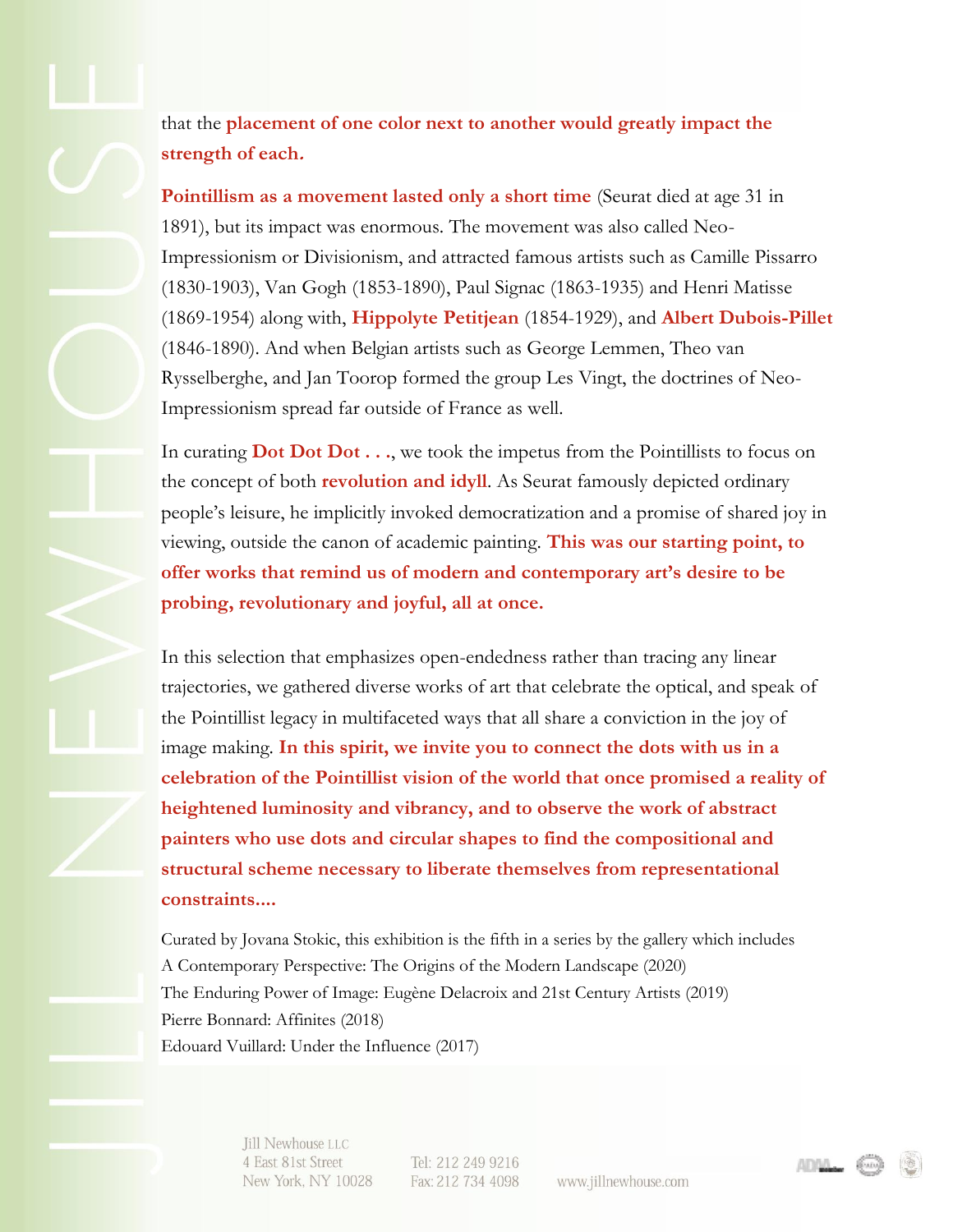that the **placement of one color next to another would greatly impact the strength of each.**

**Pointillism as a movement lasted only a short time** (Seurat died at age 31 in 1891), but its impact was enormous. The movement was also called Neo-Impressionism or Divisionism, and attracted famous artists such as Camille Pissarro (1830-1903), Van Gogh (1853-1890), Paul Signac (1863-1935) and Henri Matisse (1869-1954) along with, **Hippolyte Petitjean** (1854-1929), and **Albert Dubois-Pillet** (1846-1890). And when Belgian artists such as George Lemmen, Theo van Rysselberghe, and Jan Toorop formed the group Les Vingt, the doctrines of Neo-Impressionism spread far outside of France as well.

In curating **Dot Dot Dot...**, we took the impetus from the Pointillists to focus on the concept of both **revolution and idyll**. As Seurat famously depicted ordinary people's leisure, he implicitly invoked democratization and a promise of shared joy in viewing, outside the canon of academic painting. **This was our starting point, to offer works that remind us of modern and contemporary art's desire to be probing, revolutionary and joyful, all at once.**

In this selection that emphasizes open-endedness rather than tracing any linear trajectories, we gathered diverse works of art that celebrate the optical, and speak of the Pointillist legacy in multifaceted ways that all share a conviction in the joy of image making. **In this spirit, we invite you to connect the dots with us in a celebration of the Pointillist vision of the world that once promised a reality of heightened luminosity and vibrancy, and to observe the work of abstract painters who use dots and circular shapes to find the compositional and structural scheme necessary to liberate themselves from representational constraints....** 

Curated by Jovana Stokic, this exhibition is the fifth in a series by the gallery which includes A Contemporary Perspective: The Origins of the Modern Landscape (2020) The Enduring Power of Image: Eugène Delacroix and 21st Century Artists (2019) Pierre Bonnard: Affinites (2018) Edouard Vuillard: Under the Influence (2017)

> Jill Newhouse LLC 4 East 81st Street New York, NY 10028

Tel: 212 249 9216 Fax: 212 734 4098

www.jillnewhouse.com

ADAA.